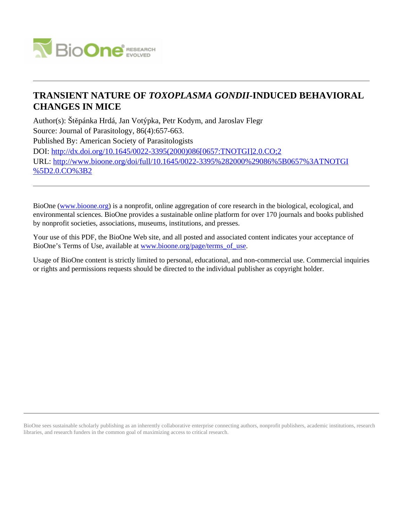

# **TRANSIENT NATURE OF** *TOXOPLASMA GONDII-***INDUCED BEHAVIORAL CHANGES IN MICE**

Author(s): Štěpánka Hrdá, Jan Votýpka, Petr Kodym, and Jaroslav Flegr Source: Journal of Parasitology, 86(4):657-663. Published By: American Society of Parasitologists DOI: [http://dx.doi.org/10.1645/0022-3395\(2000\)086\[0657:TNOTGI\]2.0.CO;2](http://dx.doi.org/10.1645/0022-3395(2000)086[0657:TNOTGI]2.0.CO;2) URL: [http://www.bioone.org/doi/full/10.1645/0022-3395%282000%29086%5B0657%3ATNOTGI](http://www.bioone.org/doi/full/10.1645/0022-3395%282000%29086%5B0657%3ATNOTGI%5D2.0.CO%3B2) [%5D2.0.CO%3B2](http://www.bioone.org/doi/full/10.1645/0022-3395%282000%29086%5B0657%3ATNOTGI%5D2.0.CO%3B2)

BioOne [\(www.bioone.org\)](http://www.bioone.org) is a nonprofit, online aggregation of core research in the biological, ecological, and environmental sciences. BioOne provides a sustainable online platform for over 170 journals and books published by nonprofit societies, associations, museums, institutions, and presses.

Your use of this PDF, the BioOne Web site, and all posted and associated content indicates your acceptance of BioOne's Terms of Use, available at [www.bioone.org/page/terms\\_of\\_use.](http://www.bioone.org/page/terms_of_use)

Usage of BioOne content is strictly limited to personal, educational, and non-commercial use. Commercial inquiries or rights and permissions requests should be directed to the individual publisher as copyright holder.

BioOne sees sustainable scholarly publishing as an inherently collaborative enterprise connecting authors, nonprofit publishers, academic institutions, research libraries, and research funders in the common goal of maximizing access to critical research.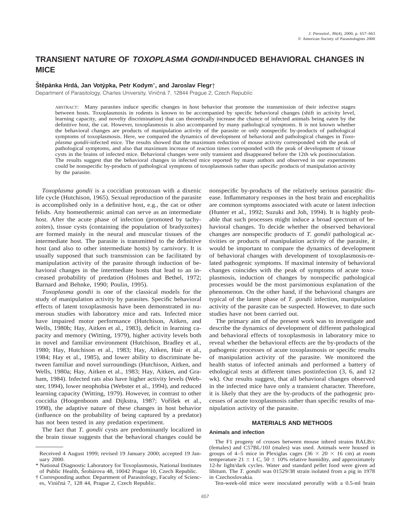## **TRANSIENT NATURE OF TOXOPLASMA GONDII-INDUCED BEHAVIORAL CHANGES IN MICE**

## Stěpánka Hrdá, Jan Votýpka, Petr Kodym<sup>\*</sup>, and Jaroslav Flegr<sup>+</sup>

Department of Parasitology, Charles University, Viničná 7, 12844 Prague 2, Czech Republic

ABSTRACT: Many parasites induce specific changes in host behavior that promote the transmission of their infective stages between hosts. Toxoplasmosis in rodents is known to be accompanied by specific behavioral changes (shift in activity level, learning capacity, and novelty discrimination) that can theoretically increase the chance of infected animals being eaten by the definitive host, the cat. However, toxoplasmosis is also accompanied by many pathological symptoms. It is not known whether the behavioral changes are products of manipulation activity of the parasite or only nonspecific by-products of pathological symptoms of toxoplasmosis. Here, we compared the dynamics of development of behavioral and pathological changes in *Toxoplasma gondii*-infected mice. The results showed that the maximum reduction of mouse activity corresponded with the peak of pathological symptoms, and also that maximum increase of reaction times corresponded with the peak of development of tissue cysts in the brains of infected mice. Behavioral changes were only transient and disappeared before the 12th wk postinoculation. The results suggest that the behavioral changes in infected mice reported by many authors and observed in our experiments could be nonspecific by-products of pathological symptoms of toxoplasmosis rather than specific products of manipulation activity by the parasite.

*Toxoplasma gondii* is a coccidian protozoan with a dixenic life cycle (Hutchison, 1965). Sexual reproduction of the parasite is accomplished only in a definitive host, e.g., the cat or other felids. Any homeothermic animal can serve as an intermediate host. After the acute phase of infection (promoted by tachyzoites), tissue cysts (containing the population of bradyzoites) are formed mainly in the neural and muscular tissues of the intermediate host. The parasite is transmitted to the definitive host (and also to other intermediate hosts) by carnivory. It is usually supposed that such transmission can be facilitated by manipulation activity of the parasite through induction of behavioral changes in the intermediate hosts that lead to an increased probability of predation (Holmes and Bethel, 1972; Barnard and Behnke, 1990; Poulin, 1995).

*Toxoplasma gondii* is one of the classical models for the study of manipulation activity by parasites. Specific behavioral effects of latent toxoplasmosis have been demonstrated in numerous studies with laboratory mice and rats. Infected mice have impaired motor performance (Hutchison, Aitken, and Wells, 1980b; Hay, Aitken et al., 1983), deficit in learning capacity and memory (Witting, 1979), higher activity levels both in novel and familiar environment (Hutchison, Bradley et al., 1980; Hay, Hutchison et al., 1983; Hay, Aitken, Hair et al., 1984; Hay et al., 1985), and lower ability to discriminate between familiar and novel surroundings (Hutchison, Aitken, and Wells, 1980a; Hay, Aitken et al., 1983; Hay, Aitken, and Graham, 1984). Infected rats also have higher activity levels (Webster, 1994), lower neophobia (Webster et al., 1994), and reduced learning capacity (Witting, 1979). However, in contrast to other coccidia (Hoogenboom and Dijkstra, 1987; Voříšek et al., 1998), the adaptive nature of these changes in host behavior (influence on the probability of being captured by a predator) has not been tested in any predation experiment.

The fact that *T. gondii* cysts are predominantly localized in the brain tissue suggests that the behavioral changes could be nonspecific by-products of the relatively serious parasitic disease. Inflammatory responses in the host brain and encephalitis are common symptoms associated with acute or latent infection (Hunter et al., 1992; Suzuki and Joh, 1994). It is highly probable that such processes might induce a broad spectrum of behavioral changes. To decide whether the observed behavioral changes are nonspecific products of *T. gondii* pathological activities or products of manipulation activity of the parasite, it would be important to compare the dynamics of development of behavioral changes with development of toxoplasmosis-related pathogenic symptoms. If maximal intensity of behavioral changes coincides with the peak of symptoms of acute toxoplasmosis, induction of changes by nonspecific pathological processes would be the most parsimonious explanation of the phenomenon. On the other hand, if the behavioral changes are typical of the latent phase of *T. gondii* infection, manipulation activity of the parasite can be suspected. However, to date such studies have not been carried out.

The primary aim of the present work was to investigate and describe the dynamics of development of different pathological and behavioral effects of toxoplasmosis in laboratory mice to reveal whether the behavioral effects are the by-products of the pathogenic processes of acute toxoplasmosis or specific results of manipulation activity of the parasite. We monitored the health status of infected animals and performed a battery of ethological tests at different times postinfection (3, 6, and 12 wk). Our results suggest, that all behavioral changes observed in the infected mice have only a transient character. Therefore, it is likely that they are the by-products of the pathogenic processes of acute toxoplasmosis rather than specific results of manipulation activity of the parasite.

## **MATERIALS AND METHODS**

## **Animals and infection**

The F1 progeny of crosses between mouse inbred strains BALB/c (females) and C57BL/10J (males) was used. Animals were housed in groups of 4–5 mice in Plexiglas cages (36  $\times$  20  $\times$  16 cm) at room temperature 21  $\pm$  1 C, 50  $\pm$  10% relative humidity, and approximately 12-hr light/dark cycles. Water and standard pellet food were given ad libitum. The *T. gondii* was 01529/38 strain isolated from a pig in 1978 in Czechoslovakia.

Ten-week-old mice were inoculated perorally with a 0.5-ml brain

Received 4 August 1999; revised 19 January 2000; accepted 19 January 2000.

<sup>\*</sup> National Diagnostic Laboratory for Toxoplasmosis, National Institutes of Public Health, Šrobárova 48, 10042 Prague 10, Czech Republic.

<sup>†</sup> Corresponding author. Department of Parasitology, Faculty of Sciences, Viničná 7, 128 44, Prague 2, Czech Republic.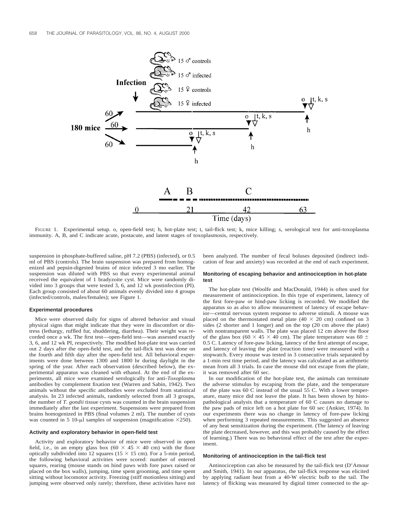

FIGURE 1. Experimental setup. o, open-field test; h, hot-plate test; t, tail-flick test; k, mice killing; s, serological test for anti-toxoplasma immunity. A, B, and C indicate acute, postacute, and latent stages of toxoplasmosis, respectively.

suspension in phosphate-buffered saline, pH 7.2 (PBS) (infected), or 0.5 ml of PBS (controls). The brain suspension was prepared from homogenized and pepsin-digested brains of mice infected 3 mo earlier. The suspension was diluted with PBS so that every experimental animal received the equivalent of 1 bradyzoite cyst. Mice were randomly divided into 3 groups that were tested 3, 6, and 12 wk postinfection (PI). Each group consisted of about 60 animals evenly divided into 4 groups (infected/controls, males/females); see Figure 1.

## **Experimental procedures**

Mice were observed daily for signs of altered behavior and visual physical signs that might indicate that they were in discomfort or distress (lethargy, ruffled fur, shuddering, diarrhea). Their weight was recorded once a wk. The first test—open-field test—was assessed exactly 3, 6, and 12 wk PI, respectively. The modified hot-plate test was carried out 2 days after the open-field test, and the tail-flick test was done on the fourth and fifth day after the open-field test. All behavioral experiments were done between 1300 and 1800 hr during daylight in the spring of the year. After each observation (described below), the experimental apparatus was cleaned with ethanol. At the end of the experiments, all mice were examined serologically for anti-*Toxoplasma* antibodies by complement fixation test (Warren and Sabin, 1942). Two animals without the specific antibodies were excluded from statistical analysis. In 23 infected animals, randomly selected from all 3 groups, the number of *T. gondii* tissue cysts was counted in the brain suspension immediately after the last experiment. Suspensions were prepared from brains homogenized in PBS (final volumes 2 ml). The number of cysts was counted in 5 10- $\mu$ l samples of suspension (magnification  $\times$ 250).

#### **Activity and exploratory behavior in open-field test**

Activity and exploratory behavior of mice were observed in open field, i.e., in an empty glass box  $(60 \times 45 \times 40$  cm) with the floor optically subdivided into 12 squares (15  $\times$  15 cm). For a 5-min period, the following behavioral activities were scored: number of entered squares, rearing (mouse stands on hind paws with fore paws raised or placed on the box walls), jumping, time spent grooming, and time spent sitting without locomotor activity. Freezing (stiff motionless sitting) and jumping were observed only rarely; therefore, these activities have not

been analyzed. The number of fecal boluses deposited (indirect indication of fear and anxiety) was recorded at the end of each experiment.

## **Monitoring of escaping behavior and antinociception in hot-plate test**

The hot-plate test (Woolfe and MacDonald, 1944) is often used for measurement of antinociception. In this type of experiment, latency of the first fore-paw or hind-paw licking is recorded. We modified the apparatus so as also to allow measurement of latency of escape behavior—central nervous system response to adverse stimuli. A mouse was placed on the thermostated metal plate (40  $\times$  20 cm) confined on 3 sides (2 shorter and 1 longer) and on the top (20 cm above the plate) with nontransparent walls. The plate was placed 12 cm above the floor of the glass box (60  $\times$  45  $\times$  40 cm). The plate temperature was 60  $\pm$ 0.5 C. Latency of fore-paw licking, latency of the first attempt of escape, and latency of leaving the plate (reaction time) were measured with a stopwatch. Every mouse was tested in 3 consecutive trials separated by a 1-min rest time period, and the latency was calculated as an arithmetic mean from all 3 trials. In case the mouse did not escape from the plate, it was removed after 60 sec.

In our modification of the hot-plate test, the animals can terminate the adverse stimulus by escaping from the plate, and the temperature of the plate was 60 C instead of the usual 55 C. With a lower temperature, many mice did not leave the plate. It has been shown by histopathological analysis that a temperature of 60 C causes no damage to the paw pads of mice left on a hot plate for 60 sec (Ankier, 1974). In our experiments there was no change in latency of fore-paw licking when performing 3 repeated measurements. This suggested an absence of any heat sensitization during the experiment. (The latency of leaving the plate decreased, however, and this was probably caused by the effect of learning.) There was no behavioral effect of the test after the experiment.

## **Monitoring of antinociception in the tail-flick test**

Antinociception can also be measured by the tail-flick test (D'Amour and Smith, 1941). In our apparatus, the tail-flick response was elicited by applying radiant heat from a 40-W electric bulb to the tail. The latency of flicking was measured by digital timer connected to the ap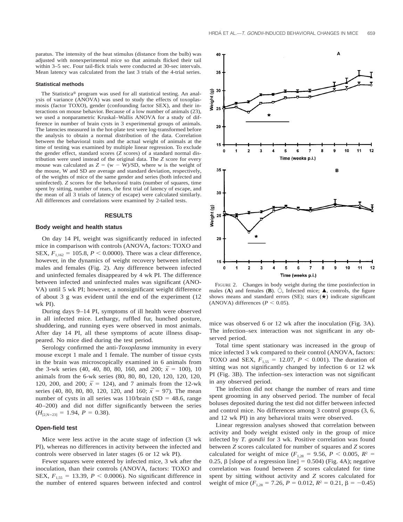paratus. The intensity of the heat stimulus (distance from the bulb) was adjusted with nonexperimental mice so that animals flicked their tail within 3–5 sec. Four tail-flick trials were conducted at 30-sec intervals. Mean latency was calculated from the last 3 trials of the 4-trial series.

#### **Statistical methods**

The Statistica® program was used for all statistical testing. An analysis of variance (ANOVA) was used to study the effects of toxoplasmosis (factor TOXO), gender (confounding factor SEX), and their interactions on mouse behavior. Because of a low number of animals (23), we used a nonparametric Kruskal–Wallis ANOVA for a study of difference in number of brain cysts in 3 experimental groups of animals. The latencies measured in the hot-plate test were log-transformed before the analysis to obtain a normal distribution of the data. Correlation between the behavioral traits and the actual weight of animals at the time of testing was examined by multiple linear regression. To exclude the gender effect, standard scores (*Z* scores) of a standard normal distribution were used instead of the original data. The *Z* score for every mouse was calculated as  $Z = (w - W)/SD$ , where w is the weight of the mouse, W and SD are average and standard deviation, respectively, of the weights of mice of the same gender and series (both infected and uninfected). *Z* scores for the behavioral traits (number of squares, time spent by sitting, number of rears, the first trial of latency of escape, and the mean of all 3 trials of latency of escape) were calculated similarly. All differences and correlations were examined by 2-tailed tests.

#### **RESULTS**

## **Body weight and health status**

On day 14 PI, weight was significantly reduced in infected mice in comparison with controls (ANOVA, factors: TOXO and SEX,  $F_{1,162} = 105.8$ ,  $P < 0.0000$ ). There was a clear difference, however, in the dynamics of weight recovery between infected males and females (Fig. 2). Any difference between infected and uninfected females disappeared by 4 wk PI. The difference between infected and uninfected males was significant (ANO-VA) until 5 wk PI; however, a nonsignificant weight difference of about 3 g was evident until the end of the experiment (12 wk PI).

During days 9–14 PI, symptoms of ill health were observed in all infected mice. Lethargy, ruffled fur, hunched posture, shuddering, and running eyes were observed in most animals. After day 14 PI, all these symptoms of acute illness disappeared. No mice died during the test period.

Serology confirmed the anti-*Toxoplasma* immunity in every mouse except 1 male and 1 female. The number of tissue cysts in the brain was microscopically examined in 6 animals from the 3-wk series (40, 40, 80, 80, 160, and 200;  $\bar{x} = 100$ ), 10 animals from the 6-wk series (80, 80, 80, 120, 120, 120, 120, 120, 200, and 200;  $\bar{x} = 124$ ), and 7 animals from the 12-wk series (40, 80, 80, 80, 120, 120, and 160;  $\bar{x} = 97$ ). The mean number of cysts in all series was  $110/b \text{rain (SD = 48.6, range)}$ 40–200) and did not differ significantly between the series  $(H<sub>[2,N=23]</sub> = 1.94, P = 0.38).$ 

## **Open-field test**

Mice were less active in the acute stage of infection (3 wk PI), whereas no differences in activity between the infected and controls were observed in later stages (6 or 12 wk PI).

Fewer squares were entered by infected mice, 3 wk after the inoculation, than their controls (ANOVA, factors: TOXO and SEX,  $F_{1,55} = 13.39, P \le 0.0006$ ). No significant difference in the number of entered squares between infected and control

males (**A**) and females (**B**).  $\bigcirc$ , Infected mice: **A**, controls, the figure shows means and standard errors (SE); stars  $(\star)$  indicate significant (ANOVA) differences ( $P < 0.05$ ).

mice was observed 6 or 12 wk after the inoculation (Fig. 3A). The infection–sex interaction was not significant in any observed period.

Total time spent stationary was increased in the group of mice infected 3 wk compared to their control (ANOVA, factors: TOXO and SEX,  $F_{1,55} = 12.07, P \le 0.001$ . The duration of sitting was not significantly changed by infection 6 or 12 wk PI (Fig. 3B). The infection–sex interaction was not significant in any observed period.

The infection did not change the number of rears and time spent grooming in any observed period. The number of fecal boluses deposited during the test did not differ between infected and control mice. No differences among 3 control groups (3, 6, and 12 wk PI) in any behavioral traits were observed.

Linear regression analyses showed that correlation between activity and body weight existed only in the group of mice infected by *T. gondii* for 3 wk. Positive correlation was found between *Z* scores calculated for number of squares and *Z* scores calculated for weight of mice ( $F_{1,28} = 9.56$ ,  $P < 0.005$ ,  $R^2 =$ 0.25,  $\beta$  [slope of a regression line] = 0.504) (Fig. 4A); negative correlation was found between *Z* scores calculated for time spent by sitting without activity and *Z* scores calculated for weight of mice ( $F_{1,28} = 7.26$ ,  $P = 0.012$ ,  $R^2 = 0.21$ ,  $\beta = -0.45$ )

Time (weeks p.i.) FIGURE 2. Changes in body weight during the time postinfection in

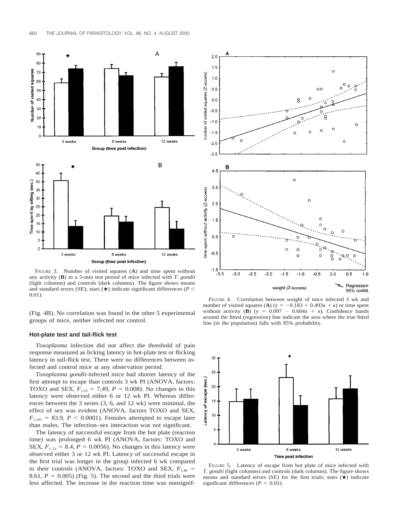

FIGURE 3. Number of visited squares (**A**) and time spent without any activity (**B**) in a 5-min test period of mice infected with *T. gondii* (light columns) and controls (dark columns). The figure shows means and standard errors (SE); stars  $(\star)$  indicate significant differences (*P* < 0.01).

(Fig. 4B). No correlation was found in the other 5 experimental groups of mice, neither infected nor control.

## **Hot-plate test and tail-flick test**

*Toxoplasma* infection did not affect the threshold of pain response measured as licking latency in hot-plate test or flicking latency in tail-flick test. There were no differences between infected and control mice at any observation period.

*Toxoplasma gondii*-infected mice had shorter latency of the first attempt to escape than controls 3 wk PI (ANOVA, factors: TOXO and SEX,  $F_{1,55} = 7,49$ ,  $P = 0.008$ ). No changes in this latency were observed either 6 or 12 wk PI. Whereas differences between the 3 series (3, 6, and 12 wk) were minimal, the effect of sex was evident (ANOVA, factors TOXO and SEX,  $F_{1,165} = 83.9, P < 0.0001$ . Females attempted to escape later than males. The infection–sex interaction was not significant.

The latency of successful escape from the hot plate (reaction time) was prolonged 6 wk PI (ANOVA, factors: TOXO and SEX,  $F_{1,52} = 8.4$ ,  $P = 0.0056$ ). No changes in this latency were observed either 3 or 12 wk PI. Latency of successful escape in the first trial was longer in the group infected 6 wk compared to their controls (ANOVA, factors: TOXO and SEX,  $F_{1,46}$  = 8.61,  $P = 0.005$ ) (Fig. 5). The second and the third trials were less affected. The increase in the reaction time was nonsignif-



FIGURE 4. Correlation between weight of mice infected 3 wk and number of visited squares (A) (y =  $-0.183 + 0.493x + \epsilon$ ) or time spent without activity (**B**) (y =  $0.097 - 0.604x + \epsilon$ ). Confidence bands around the fitted (regression) line indicate the area where the true fitted line (in the population) falls with 95% probability.



FIGURE 5. Latency of escape from hot plate of mice infected with *T. gondii* (light columns) and controls (dark columns). The figure shows means and standard errors (SE) for the first trials; stars  $(\star)$  indicate significant differences ( $P < 0.01$ ).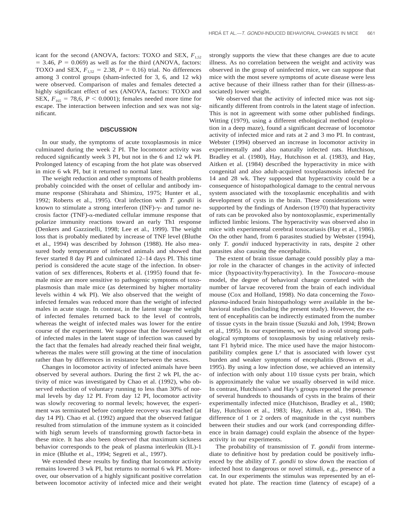icant for the second (ANOVA, factors: TOXO and SEX,  $F_{1,52}$ )  $=$  3.46,  $P = 0.069$ ) as well as for the third (ANOVA, factors: TOXO and SEX,  $F_{1,52} = 2.38$ ,  $P = 0.16$ ) trial. No differences among 3 control groups (sham-infected for 3, 6, and 12 wk) were observed. Comparison of males and females detected a highly significant effect of sex (ANOVA, factors: TOXO and SEX,  $F_{165} = 78,6, P \le 0.0001$ ; females needed more time for escape. The interaction between infection and sex was not significant.

## **DISCUSSION**

In our study, the symptoms of acute toxoplasmosis in mice culminated during the week 2 PI. The locomotor activity was reduced significantly week 3 PI, but not in the 6 and 12 wk PI. Prolonged latency of escaping from the hot plate was observed in mice 6 wk PI, but it returned to normal later.

The weight reduction and other symptoms of health problems probably coincided with the onset of cellular and antibody immune response (Shirahata and Shimizu, 1975; Hunter et al., 1992; Roberts et al., 1995). Oral infection with *T. gondii* is known to stimulate a strong interferon (INF)- $\gamma$ - and tumor necrosis factor (TNF)- $\alpha$ -mediated cellular immune response that polarize immunity reactions toward an early Th1 response (Denkers and Gazzinelli, 1998; Lee et al., 1999). The weight loss that is probably mediated by increase of TNF level (Bluthe et al., 1994) was described by Johnson (1988). He also measured body temperature of infected animals and showed that fever started 8 day PI and culminated 12–14 days PI. This time period is considered the acute stage of the infection. In observation of sex differences, Roberts et al. (1995) found that female mice are more sensitive to pathogenic symptoms of toxoplasmosis than male mice (as determined by higher mortality levels within 4 wk PI). We also observed that the weight of infected females was reduced more than the weight of infected males in acute stage. In contrast, in the latent stage the weight of infected females returned back to the level of controls, whereas the weight of infected males was lower for the entire course of the experiment. We suppose that the lowered weight of infected males in the latent stage of infection was caused by the fact that the females had already reached their final weight, whereas the males were still growing at the time of inoculation rather than by differences in resistance between the sexes.

Changes in locomotor activity of infected animals have been observed by several authors. During the first 2 wk PI, the activity of mice was investigated by Chao et al. (1992), who observed reduction of voluntary running to less than 30% of normal levels by day 12 PI. From day 12 PI, locomotor activity was slowly recovering to normal levels; however, the experiment was terminated before complete recovery was reached (at day 14 PI). Chao et al. (1992) argued that the observed fatigue resulted from stimulation of the immune system as it coincided with high serum levels of transforming growth factor-beta in these mice. It has also been observed that maximum sickness behavior corresponds to the peak of plasma interleukin (IL)-1 in mice (Bluthe et al., 1994; Segreti et al., 1997).

We extended these results by finding that locomotor activity remains lowered 3 wk PI, but returns to normal 6 wk PI. Moreover, our observation of a highly significant positive correlation between locomotor activity of infected mice and their weight strongly supports the view that these changes are due to acute illness. As no correlation between the weight and activity was observed in the group of uninfected mice, we can suppose that mice with the most severe symptoms of acute disease were less active because of their illness rather than for their (illness-associated) lower weight.

We observed that the activity of infected mice was not significantly different from controls in the latent stage of infection. This is not in agreement with some other published findings. Witting (1979), using a different ethological method (exploration in a deep maze), found a significant decrease of locomotor activity of infected mice and rats at 2 and 3 mo PI. In contrast, Webster (1994) observed an increase in locomotor activity in experimentally and also naturally infected rats. Hutchison, Bradley et al. (1980), Hay, Hutchison et al. (1983), and Hay, Aitken et al. (1984) described the hyperactivity in mice with congenital and also adult-acquired toxoplasmosis infected for 14 and 28 wk. They supposed that hyperactivity could be a consequence of histopathological damage to the central nervous system associated with the toxoplasmic encephalitis and with development of cysts in the brain. These considerations were supported by the findings of Anderson (1970) that hyperactivity of rats can be provoked also by nontoxoplasmic, experimentally inflicted limbic lesions. The hyperactivity was observed also in mice with experimental cerebral toxocariasis (Hay et al., 1986). On the other hand, from 6 parasites studied by Webster (1994), only *T. gondii* induced hyperactivity in rats, despite 2 other parasites also causing the encephalitis.

The extent of brain tissue damage could possibly play a major role in the character of changes in the activity of infected mice (hypoactivity/hyperactivity). In the *Toxocara*–mouse model, the degree of behavioral change correlated with the number of larvae recovered from the brain of each individual mouse (Cox and Holland, 1998). No data concerning the *Toxoplasma*-induced brain histopathology were available in the behavioral studies (including the present study). However, the extent of encephalitis can be indirectly estimated from the number of tissue cysts in the brain tissue (Suzuki and Joh, 1994; Brown et al., 1995). In our experiments, we tried to avoid strong pathological symptoms of toxoplasmosis by using relatively resistant F1 hybrid mice. The mice used have the major histocompatibility complex gene  $L<sup>d</sup>$  that is associated with lower cyst burden and weaker symptoms of encephalitis (Brown et al., 1995). By using a low infection dose, we achieved an intensity of infection with only about 110 tissue cysts per brain, which is approximately the value we usually observed in wild mice. In contrast, Hutchison's and Hay's groups reported the presence of several hundreds to thousands of cysts in the brains of their experimentally infected mice (Hutchison, Bradley et al., 1980; Hay, Hutchison et al., 1983; Hay, Aitken et al., 1984). The difference of 1 or 2 orders of magnitude in the cyst numbers between their studies and our work (and corresponding difference in brain damage) could explain the absence of the hyperactivity in our experiments.

The probability of transmission of *T. gondii* from intermediate to definitive host by predation could be positively influenced by the ability of *T. gondii* to slow down the reaction of infected host to dangerous or novel stimuli, e.g., presence of a cat. In our experiments the stimulus was represented by an elevated hot plate. The reaction time (latency of escape) of a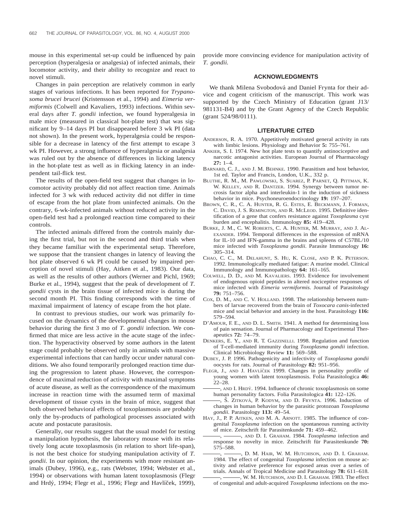mouse in this experimental set-up could be influenced by pain perception (hyperalgesia or analgesia) of infected animals, their locomotor activity, and their ability to recognize and react to novel stimuli.

Changes in pain perception are relatively common in early stages of various infections. It has been reported for *Trypanosoma brucei brucei* (Kristensson et al., 1994) and *Eimeria vermiformis* (Colwell and Kavaliers, 1993) infections. Within several days after *T. gondii* infection, we found hyperalgesia in male mice (measured in classical hot-plate test) that was significant by 9–14 days PI but disappeared before 3 wk PI (data not shown). In the present work, hyperalgesia could be responsible for a decrease in latency of the first attempt to escape 3 wk PI. However, a strong influence of hyperalgesia or analgesia was ruled out by the absence of differences in licking latency in the hot-plate test as well as in flicking latency in an independent tail-flick test.

The results of the open-field test suggest that changes in locomotor activity probably did not affect reaction time. Animals infected for 3 wk with reduced activity did not differ in time of escape from the hot plate from uninfected animals. On the contrary, 6-wk-infected animals without reduced activity in the open-field test had a prolonged reaction time compared to their controls.

The infected animals differed from the controls mainly during the first trial, but not in the second and third trials when they became familiar with the experimental setup. Therefore, we suppose that the transient changes in latency of leaving the hot plate observed 6 wk PI could be caused by impaired perception of novel stimuli (Hay, Aitken et al., 1983). Our data, as well as the results of other authors (Werner and Pichl, 1969; Burke et al., 1994), suggest that the peak of development of *T. gondii* cysts in the brain tissue of infected mice is during the second month PI. This finding corresponds with the time of maximal impairment of latency of escape from the hot plate.

In contrast to previous studies, our work was primarily focused on the dynamics of the developmental changes in mouse behavior during the first 3 mo of *T. gondii* infection. We confirmed that mice are less active in the acute stage of the infection. The hyperactivity observed by some authors in the latent stage could probably be observed only in animals with massive experimental infections that can hardly occur under natural conditions. We also found temporarily prolonged reaction time during the progression to latent phase. However, the correspondence of maximal reduction of activity with maximal symptoms of acute disease, as well as the correspondence of the maximum increase in reaction time with the assumed term of maximal development of tissue cysts in the brain of mice, suggest that both observed behavioral effects of toxoplasmosis are probably only the by-products of pathological processes associated with acute and postacute parasitosis.

Generally, our results suggest that the usual model for testing a manipulation hypothesis, the laboratory mouse with its relatively long acute toxoplasmosis (in relation to short life-span), is not the best choice for studying manipulation activity of *T. gondii.* In our opinion, the experiments with more resistant animals (Dubey, 1996), e.g., rats (Webster, 1994; Webster et al., 1994) or observations with human latent toxoplasmosis (Flegr and Hrdý, 1994; Flegr et al., 1996; Flegr and Havlíček, 1999), provide more convincing evidence for manipulation activity of *T. gondii.*

## **ACKNOWLEDGMENTS**

We thank Milena Svobodová and Daniel Frynta for their advice and cogent criticism of the manuscript. This work was supported by the Czech Ministry of Education (grant J13/ 981131-B4) and by the Grant Agency of the Czech Republic (grant 524/98/0111).

## **LITERATURE CITED**

- ANDERSON, R. A. 1970. Appetitively motivated general activity in rats with limbic lesions. Physiology and Behavior **5:** 755–761.
- ANKIER, S. I. 1974. New hot plate tests to quantify antinociceptive and narcotic antagonist activities. European Journal of Pharmacology **27:** 1–4.
- BARNARD, C. J., AND J. M. BEHNKE. 1990. Parasitism and host behavior, 1st ed. Taylor and Francis, London, U.K., 332 p.
- BLUTHE, R. M., M. PAWLOWSKI, S. SUAREZ, P. PARNET, Q. PITTMAN, K. W. KELLEY, AND R. DANTZER. 1994. Synergy between tumor necrosis factor alpha and interleukin-1 in the induction of sickness behavior in mice. Psychoneuroendocrinology **19:** 197–207.
- BROWN, C. R., C. A. HUNTER, R. G. ESTES, E. BECKMANN, J. FORMAN, C. DAVID, J. S. REMINGTON, AND R. MCLEOD. 1995. Definitive identification of a gene that confers resistance against *Toxoplasma* cyst burden and encephalitis. Immunology **85:** 419–428.
- BURKE, J. M., C. W. ROBERTS, C. A. HUNTER, M. MURRAY, AND J. AL-EXANDER. 1994. Temporal differences in the expression of mRNA for IL-10 and IFN-gamma in the brains and spleens of C57BL/10 mice infected with *Toxoplasma gondii.* Parasite Immunology **16:** 305–314.
- CHAO, C. C., M. DELAHUNT, S. HU, K. CLOSE, AND P. K. PETERSON. 1992. Immunologically mediated fatigue: A murine model. Clinical Immunology and Immunopathology **64:** 161–165.
- COLWELL, D. D., AND M. KAVALIERS. 1993. Evidence for involvement of endogenous opioid peptides in altered nociceptive responses of mice infected with *Eimeria vermiformis.* Journal of Parasitology **79:** 751–756.
- COX, D. M., AND C. V. HOLLAND. 1998. The relationship between numbers of larvae recovered from the brain of *Toxocara canis*-infected mice and social behavior and anxiety in the host. Parasitology **116:** 579–594.
- D'AMOUR, F. E., AND D. L. SMITH. 1941. A method for determining loss of pain sensation. Journal of Pharmacology and Experimental Therapeutics **72:** 74–79.
- DENKERS, E. Y., AND R. T. GAZZINELLI. 1998. Regulation and function of T-cell-mediated immunity during *Toxoplasma gondii* infection. Clinical Microbiology Review **11:** 569–588.
- DUBEY, J. P. 1996. Pathogenicity and infectivity of *Toxoplasma gondii* oocysts for rats. Journal of Parasitology **82:** 951–956.
- FLEGR, J., AND J. HAVLÍČEK 1999. Changes in personality profile of young women with latent toxoplasmosis. Folia Parasitologica **46:** 22–28.
- , AND I. HRDÝ. 1994. Influence of chronic toxoplasmosis on some human personality factors. Folia Parasitologica **41:** 122–126.
- , Š. ZITKOVÁ, P. KODYM, AND D. FRYNTA. 1996. Induction of changes in human behavior by the parasitic protozoan *Toxoplasma gondii.* Parasitology **113:** 49–54.
- HAY, J., P. P. AITKEN, AND M. A. ARNOTT. 1985. The influence of congenital *Toxoplasma* infection on the spontaneous running activity of mice. Zeitschrift für Parasitenkunde 71: 459–462.
- , , AND D. I. GRAHAM. 1984. *Toxoplasma* infection and response to novelty in mice. Zeitschrift für Parasitenkunde 70: 575–588.
- , D. M. HAIR, W. M. HUTCHISON, AND D. I. GRAHAM. 1984. The effect of congenital *Toxoplasma* infection on mouse activity and relative preference for exposed areas over a series of trials. Annals of Tropical Medicine and Parasitology **78:** 611–618.
- , W. M. HUTCHISON, AND D. I. GRAHAM. 1983. The effect of congenital and adult-acquired *Toxoplasma* infections on the mo-